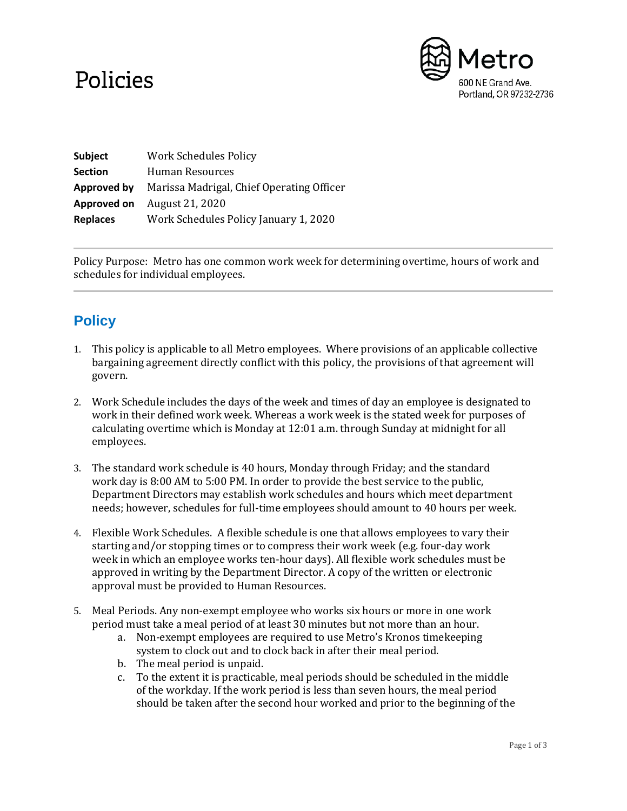## Policies



| Subject         | <b>Work Schedules Policy</b>              |
|-----------------|-------------------------------------------|
| <b>Section</b>  | Human Resources                           |
| Approved by     | Marissa Madrigal, Chief Operating Officer |
| Approved on     | August 21, 2020                           |
| <b>Replaces</b> | Work Schedules Policy January 1, 2020     |

Policy Purpose: Metro has one common work week for determining overtime, hours of work and schedules for individual employees.

## **Policy**

- 1. This policy is applicable to all Metro employees. Where provisions of an applicable collective bargaining agreement directly conflict with this policy, the provisions of that agreement will govern.
- 2. Work Schedule includes the days of the week and times of day an employee is designated to work in their defined work week. Whereas a work week is the stated week for purposes of calculating overtime which is Monday at 12:01 a.m. through Sunday at midnight for all employees.
- 3. The standard work schedule is 40 hours, Monday through Friday; and the standard work day is 8:00 AM to 5:00 PM. In order to provide the best service to the public, Department Directors may establish work schedules and hours which meet department needs; however, schedules for full-time employees should amount to 40 hours per week.
- 4. Flexible Work Schedules. A flexible schedule is one that allows employees to vary their starting and/or stopping times or to compress their work week (e.g. four-day work week in which an employee works ten-hour days). All flexible work schedules must be approved in writing by the Department Director. A copy of the written or electronic approval must be provided to Human Resources.
- 5. Meal Periods. Any non-exempt employee who works six hours or more in one work period must take a meal period of at least 30 minutes but not more than an hour.
	- a. Non-exempt employees are required to use Metro's Kronos timekeeping system to clock out and to clock back in after their meal period.
	- b. The meal period is unpaid.
	- c. To the extent it is practicable, meal periods should be scheduled in the middle of the workday. If the work period is less than seven hours, the meal period should be taken after the second hour worked and prior to the beginning of the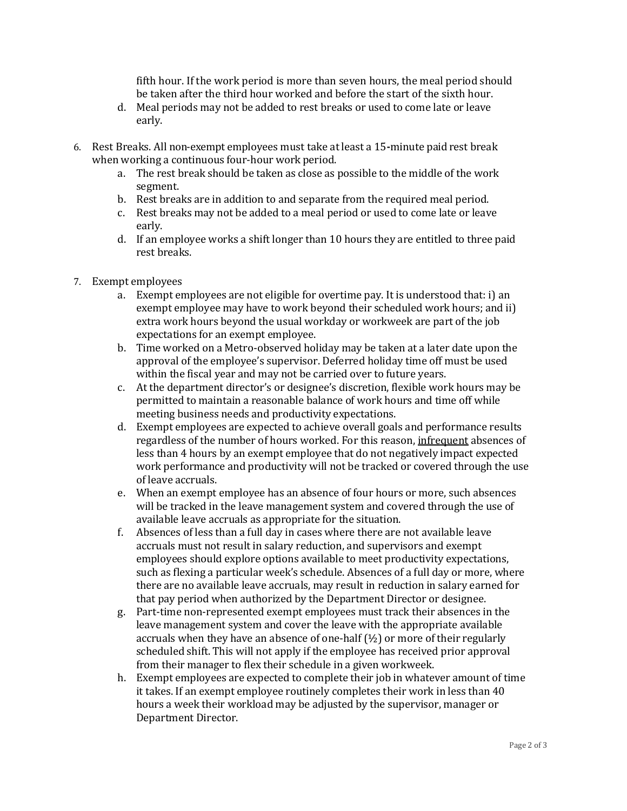fifth hour. If the work period is more than seven hours, the meal period should be taken after the third hour worked and before the start of the sixth hour.

- d. Meal periods may not be added to rest breaks or used to come late or leave early.
- 6. Rest Breaks. All non-exempt employees must take at least a 15**-**minute paid rest break when working a continuous four-hour work period.
	- a. The rest break should be taken as close as possible to the middle of the work segment.
	- b. Rest breaks are in addition to and separate from the required meal period.
	- c. Rest breaks may not be added to a meal period or used to come late or leave early.
	- d. If an employee works a shift longer than 10 hours they are entitled to three paid rest breaks.
- 7. Exempt employees
	- a. Exempt employees are not eligible for overtime pay. It is understood that: i) an exempt employee may have to work beyond their scheduled work hours; and ii) extra work hours beyond the usual workday or workweek are part of the job expectations for an exempt employee.
	- b. Time worked on a Metro-observed holiday may be taken at a later date upon the approval of the employee's supervisor. Deferred holiday time off must be used within the fiscal year and may not be carried over to future years.
	- c. At the department director's or designee's discretion, flexible work hours may be permitted to maintain a reasonable balance of work hours and time off while meeting business needs and productivity expectations.
	- d. Exempt employees are expected to achieve overall goals and performance results regardless of the number of hours worked. For this reason, infrequent absences of less than 4 hours by an exempt employee that do not negatively impact expected work performance and productivity will not be tracked or covered through the use of leave accruals.
	- e. When an exempt employee has an absence of four hours or more, such absences will be tracked in the leave management system and covered through the use of available leave accruals as appropriate for the situation.
	- f. Absences of less than a full day in cases where there are not available leave accruals must not result in salary reduction, and supervisors and exempt employees should explore options available to meet productivity expectations, such as flexing a particular week's schedule. Absences of a full day or more, where there are no available leave accruals, may result in reduction in salary earned for that pay period when authorized by the Department Director or designee.
	- g. Part-time non-represented exempt employees must track their absences in the leave management system and cover the leave with the appropriate available accruals when they have an absence of one-half (½) or more of their regularly scheduled shift. This will not apply if the employee has received prior approval from their manager to flex their schedule in a given workweek.
	- h. Exempt employees are expected to complete their job in whatever amount of time it takes. If an exempt employee routinely completes their work in less than 40 hours a week their workload may be adjusted by the supervisor, manager or Department Director.